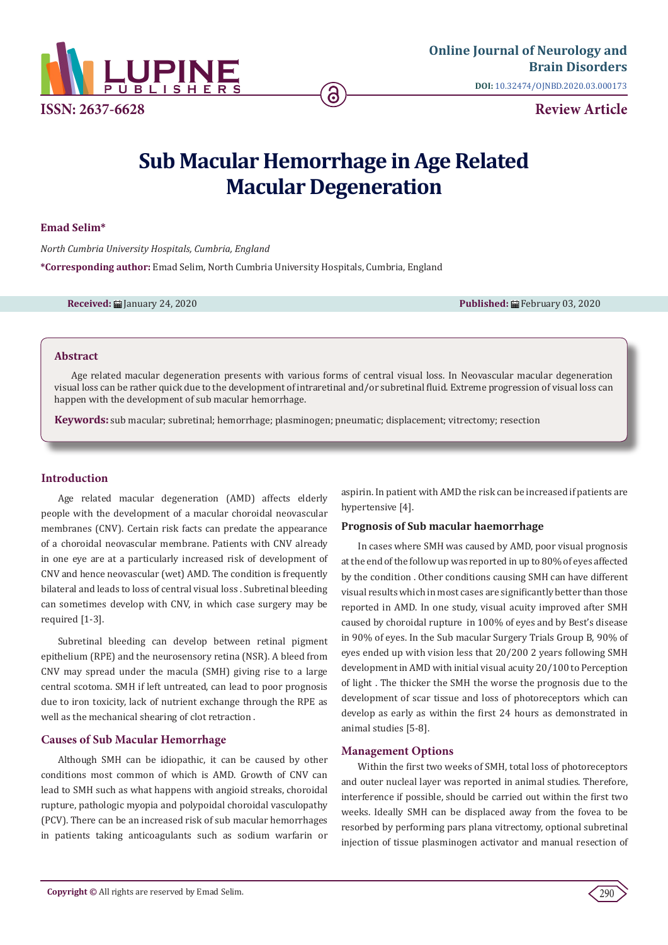

# **Sub Macular Hemorrhage in Age Related Macular Degeneration**

### **Emad Selim\***

*North Cumbria University Hospitals, Cumbria, England* **\*Corresponding author:** Emad Selim, North Cumbria University Hospitals, Cumbria, England

**Received:** January 24, 2020 **Published:** February 03, 2020

### **Abstract**

Age related macular degeneration presents with various forms of central visual loss. In Neovascular macular degeneration visual loss can be rather quick due to the development of intraretinal and/or subretinal fluid. Extreme progression of visual loss can happen with the development of sub macular hemorrhage.

**Keywords:** sub macular; subretinal; hemorrhage; plasminogen; pneumatic; displacement; vitrectomy; resection

# **Introduction**

Age related macular degeneration (AMD) affects elderly people with the development of a macular choroidal neovascular membranes (CNV). Certain risk facts can predate the appearance of a choroidal neovascular membrane. Patients with CNV already in one eye are at a particularly increased risk of development of CNV and hence neovascular (wet) AMD. The condition is frequently bilateral and leads to loss of central visual loss . Subretinal bleeding can sometimes develop with CNV, in which case surgery may be required [1-3].

Subretinal bleeding can develop between retinal pigment epithelium (RPE) and the neurosensory retina (NSR). A bleed from CNV may spread under the macula (SMH) giving rise to a large central scotoma. SMH if left untreated, can lead to poor prognosis due to iron toxicity, lack of nutrient exchange through the RPE as well as the mechanical shearing of clot retraction .

# **Causes of Sub Macular Hemorrhage**

Although SMH can be idiopathic, it can be caused by other conditions most common of which is AMD. Growth of CNV can lead to SMH such as what happens with angioid streaks, choroidal rupture, pathologic myopia and polypoidal choroidal vasculopathy (PCV). There can be an increased risk of sub macular hemorrhages in patients taking anticoagulants such as sodium warfarin or aspirin. In patient with AMD the risk can be increased if patients are hypertensive [4].

#### **Prognosis of Sub macular haemorrhage**

In cases where SMH was caused by AMD, poor visual prognosis at the end of the follow up was reported in up to 80% of eyes affected by the condition . Other conditions causing SMH can have different visual results which in most cases are significantly better than those reported in AMD. In one study, visual acuity improved after SMH caused by choroidal rupture in 100% of eyes and by Best's disease in 90% of eyes. In the Sub macular Surgery Trials Group B, 90% of eyes ended up with vision less that 20/200 2 years following SMH development in AMD with initial visual acuity 20/100 to Perception of light . The thicker the SMH the worse the prognosis due to the development of scar tissue and loss of photoreceptors which can develop as early as within the first 24 hours as demonstrated in animal studies [5-8].

#### **Management Options**

Within the first two weeks of SMH, total loss of photoreceptors and outer nucleal layer was reported in animal studies. Therefore, interference if possible, should be carried out within the first two weeks. Ideally SMH can be displaced away from the fovea to be resorbed by performing pars plana vitrectomy, optional subretinal injection of tissue plasminogen activator and manual resection of